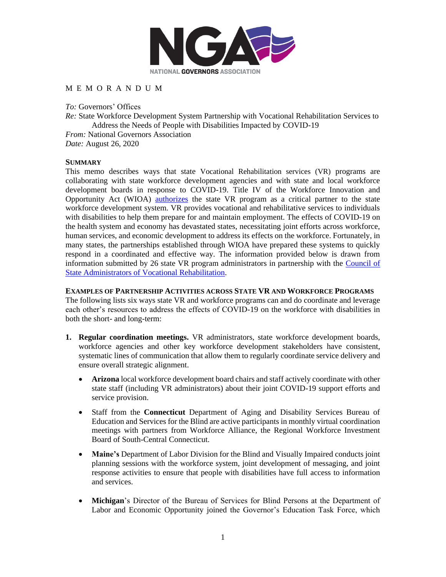

## M E M O R A N D U M

*To:* Governors' Offices *Re:* State Workforce Development System Partnership with Vocational Rehabilitation Services to Address the Needs of People with Disabilities Impacted by COVID-19 *From:* National Governors Association *Date:* August 26, 2020

## **SUMMARY**

This memo describes ways that state Vocational Rehabilitation services (VR) programs are collaborating with state workforce development agencies and with state and local workforce development boards in response to COVID-19. Title IV of the Workforce Innovation and Opportunity Act (WIOA) [authorizes](https://www2.ed.gov/policy/speced/guid/rsa/subregulatory/tac-15-02.pdf) the state VR program as a critical partner to the state workforce development system. VR provides vocational and rehabilitative services to individuals with disabilities to help them prepare for and maintain employment. The effects of COVID-19 on the health system and economy has devastated states, necessitating joint efforts across workforce, human services, and economic development to address its effects on the workforce. Fortunately, in many states, the partnerships established through WIOA have prepared these systems to quickly respond in a coordinated and effective way. The information provided below is drawn from information submitted by 26 state VR program administrators in partnership with the [Council of](https://www.csavr.org/)  [State Administrators of Vocational Rehabilitation.](https://www.csavr.org/)

## **EXAMPLES OF PARTNERSHIP ACTIVITIES ACROSS STATE VR AND WORKFORCE PROGRAMS**

The following lists six ways state VR and workforce programs can and do coordinate and leverage each other's resources to address the effects of COVID-19 on the workforce with disabilities in both the short- and long-term:

- **1. Regular coordination meetings.** VR administrators, state workforce development boards, workforce agencies and other key workforce development stakeholders have consistent, systematic lines of communication that allow them to regularly coordinate service delivery and ensure overall strategic alignment.
	- **Arizona** local workforce development board chairs and staff actively coordinate with other state staff (including VR administrators) about their joint COVID-19 support efforts and service provision.
	- Staff from the **Connecticut** Department of Aging and Disability Services Bureau of Education and Services for the Blind are active participants in monthly virtual coordination meetings with partners from Workforce Alliance, the Regional Workforce Investment Board of South-Central Connecticut.
	- **Maine's** Department of Labor Division for the Blind and Visually Impaired conducts joint planning sessions with the workforce system, joint development of messaging, and joint response activities to ensure that people with disabilities have full access to information and services.
	- **Michigan**'s Director of the Bureau of Services for Blind Persons at the Department of Labor and Economic Opportunity joined the Governor's Education Task Force, which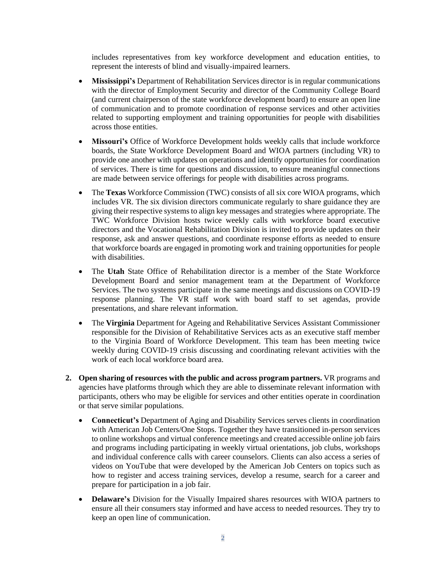includes representatives from key workforce development and education entities, to represent the interests of blind and visually-impaired learners.

- **Mississippi's** Department of Rehabilitation Services director is in regular communications with the director of Employment Security and director of the Community College Board (and current chairperson of the state workforce development board) to ensure an open line of communication and to promote coordination of response services and other activities related to supporting employment and training opportunities for people with disabilities across those entities.
- **Missouri's** Office of Workforce Development holds weekly calls that include workforce boards, the State Workforce Development Board and WIOA partners (including VR) to provide one another with updates on operations and identify opportunities for coordination of services. There is time for questions and discussion, to ensure meaningful connections are made between service offerings for people with disabilities across programs.
- The **Texas** Workforce Commission (TWC) consists of all six core WIOA programs, which includes VR. The six division directors communicate regularly to share guidance they are giving their respective systems to align key messages and strategies where appropriate. The TWC Workforce Division hosts twice weekly calls with workforce board executive directors and the Vocational Rehabilitation Division is invited to provide updates on their response, ask and answer questions, and coordinate response efforts as needed to ensure that workforce boards are engaged in promoting work and training opportunities for people with disabilities.
- The **Utah** State Office of Rehabilitation director is a member of the State Workforce Development Board and senior management team at the Department of Workforce Services. The two systems participate in the same meetings and discussions on COVID-19 response planning. The VR staff work with board staff to set agendas, provide presentations, and share relevant information.
- The **Virginia** Department for Ageing and Rehabilitative Services Assistant Commissioner responsible for the Division of Rehabilitative Services acts as an executive staff member to the Virginia Board of Workforce Development. This team has been meeting twice weekly during COVID-19 crisis discussing and coordinating relevant activities with the work of each local workforce board area.
- **2. Open sharing of resources with the public and across program partners.** VR programs and agencies have platforms through which they are able to disseminate relevant information with participants, others who may be eligible for services and other entities operate in coordination or that serve similar populations.
	- **Connecticut's** Department of Aging and Disability Services serves clients in coordination with American Job Centers/One Stops. Together they have transitioned in-person services to online workshops and virtual conference meetings and created accessible online job fairs and programs including participating in weekly virtual orientations, job clubs, workshops and individual conference calls with career counselors. Clients can also access a series of videos on YouTube that were developed by the American Job Centers on topics such as how to register and access training services, develop a resume, search for a career and prepare for participation in a job fair.
	- **Delaware's** Division for the Visually Impaired shares resources with WIOA partners to ensure all their consumers stay informed and have access to needed resources. They try to keep an open line of communication.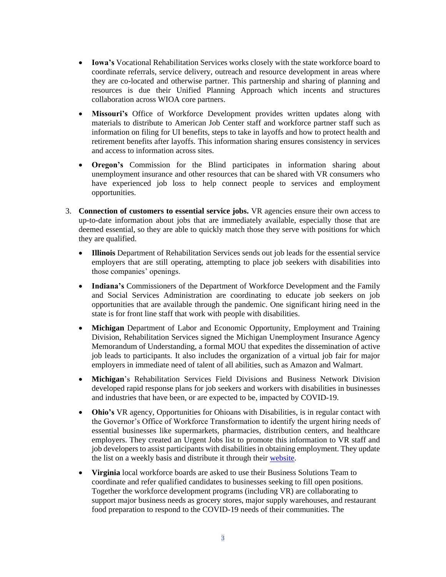- **Iowa's** Vocational Rehabilitation Services works closely with the state workforce board to coordinate referrals, service delivery, outreach and resource development in areas where they are co-located and otherwise partner. This partnership and sharing of planning and resources is due their Unified Planning Approach which incents and structures collaboration across WIOA core partners.
- **Missouri's** Office of Workforce Development provides written updates along with materials to distribute to American Job Center staff and workforce partner staff such as information on filing for UI benefits, steps to take in layoffs and how to protect health and retirement benefits after layoffs. This information sharing ensures consistency in services and access to information across sites.
- **Oregon's** Commission for the Blind participates in information sharing about unemployment insurance and other resources that can be shared with VR consumers who have experienced job loss to help connect people to services and employment opportunities.
- 3. **Connection of customers to essential service jobs.** VR agencies ensure their own access to up-to-date information about jobs that are immediately available, especially those that are deemed essential, so they are able to quickly match those they serve with positions for which they are qualified.
	- **Illinois** Department of Rehabilitation Services sends out job leads for the essential service employers that are still operating, attempting to place job seekers with disabilities into those companies' openings.
	- **Indiana's** Commissioners of the Department of Workforce Development and the Family and Social Services Administration are coordinating to educate job seekers on job opportunities that are available through the pandemic. One significant hiring need in the state is for front line staff that work with people with disabilities.
	- **Michigan** Department of Labor and Economic Opportunity, Employment and Training Division, Rehabilitation Services signed the Michigan Unemployment Insurance Agency Memorandum of Understanding, a formal MOU that expedites the dissemination of active job leads to participants. It also includes the organization of a virtual job fair for major employers in immediate need of talent of all abilities, such as Amazon and Walmart.
	- **Michigan**'s Rehabilitation Services Field Divisions and Business Network Division developed rapid response plans for job seekers and workers with disabilities in businesses and industries that have been, or are expected to be, impacted by COVID-19.
	- **Ohio's** VR agency, Opportunities for Ohioans with Disabilities, is in regular contact with the Governor's Office of Workforce Transformation to identify the urgent hiring needs of essential businesses like supermarkets, pharmacies, distribution centers, and healthcare employers. They created an Urgent Jobs list to promote this information to VR staff and job developers to assist participants with disabilities in obtaining employment. They update the list on a weekly basis and distribute it through their [website.](https://ood.ohio.gov/wps/portal/gov/ood/information-for-employers/employer-resources/2-urgent-jobs)
	- **Virginia** local workforce boards are asked to use their Business Solutions Team to coordinate and refer qualified candidates to businesses seeking to fill open positions. Together the workforce development programs (including VR) are collaborating to support major business needs as grocery stores, major supply warehouses, and restaurant food preparation to respond to the COVID-19 needs of their communities. The